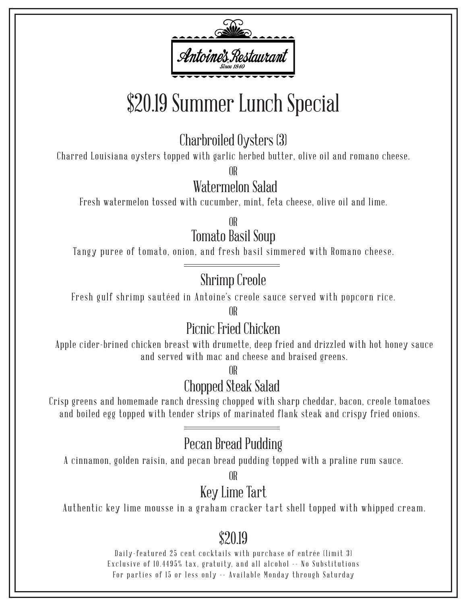

# \$20.19 Summer Lunch Special

Charbroiled Oysters (3)

Charred Louisiana oysters topped with garlic herbed butter, olive oil and romano cheese.

OR

Watermelon Salad

Fresh watermelon tossed with cucumber, mint, feta cheese, olive oil and lime.

Tomato Basil Soup OR

Tangy puree of tomato, onion, and fresh basil simmered with Romano cheese.

## Shrimp Creole

Fresh gulf shrimp sautéed in Antoine's creole sauce served with popcorn rice.

OR

## Picnic Fried Chicken

Apple cider-brined chicken breast with drumette, deep fried and drizzled with hot honey sauce and served with mac and cheese and braised greens.

OR

## Chopped Steak Salad

Crisp greens and homemade ranch dressing chopped with sharp cheddar, bacon, creole tomatoes and boiled egg topped with tender strips of marinated flank steak and crispy fried onions.

# Pecan Bread Pudding

A cinnamon, golden raisin, and pecan bread pudding topped with a praline rum sauce.

OR

# Key Lime Tart

Authentic key lime mousse in a graham cracker tart shell topped with whipped cream.

# \$20.19

Daily-featured 25 cent cocktails with purchase of entrée (limit 3) Exclusive of 10.4495% tax, gratuity, and all alcohol -- No Substitutions For parties of 15 or less only -- Available Monday through Saturday